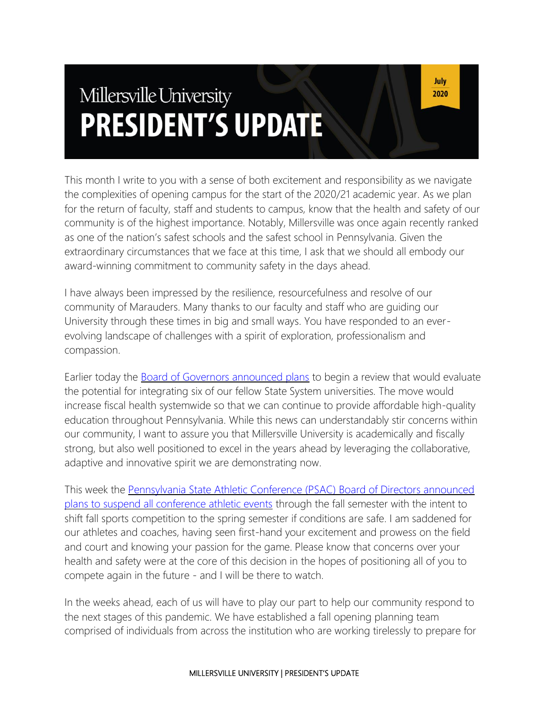# Millersville University **PRESIDENT'S UPDATE**

This month I write to you with a sense of both excitement and responsibility as we navigate the complexities of opening campus for the start of the 2020/21 academic year. As we plan for the return of faculty, staff and students to campus, know that the health and safety of our community is of the highest importance. Notably, Millersville was once again recently ranked as one of the nation's safest schools and the safest school in Pennsylvania. Given the extraordinary circumstances that we face at this time, I ask that we should all embody our award-winning commitment to community safety in the days ahead.

I have always been impressed by the resilience, resourcefulness and resolve of our community of Marauders. Many thanks to our faculty and staff who are guiding our University through these times in big and small ways. You have responded to an everevolving landscape of challenges with a spirit of exploration, professionalism and compassion.

Earlier today the **[Board of Governors announced plans](https://www.passhe.edu/News/Pages/Releases.aspx?q=2020-07-16-university-integrations)** to begin a review that would evaluate the potential for integrating six of our fellow State System universities. The move would increase fiscal health systemwide so that we can continue to provide affordable high-quality education throughout Pennsylvania. While this news can understandably stir concerns within our community, I want to assure you that Millersville University is academically and fiscally strong, but also well positioned to excel in the years ahead by leveraging the collaborative, adaptive and innovative spirit we are demonstrating now.

This week the [Pennsylvania State Athletic Conference \(PSAC\) Board of Directors announced](https://millersvilleathletics.com/news/2020/7/15/general-psac-suspends-ncaa-competition-for-fall-2020.aspx)  [plans to suspend all conference athletic events](https://millersvilleathletics.com/news/2020/7/15/general-psac-suspends-ncaa-competition-for-fall-2020.aspx) through the fall semester with the intent to shift fall sports competition to the spring semester if conditions are safe. I am saddened for our athletes and coaches, having seen first-hand your excitement and prowess on the field and court and knowing your passion for the game. Please know that concerns over your health and safety were at the core of this decision in the hopes of positioning all of you to compete again in the future - and I will be there to watch.

In the weeks ahead, each of us will have to play our part to help our community respond to the next stages of this pandemic. We have established a fall opening planning team comprised of individuals from across the institution who are working tirelessly to prepare for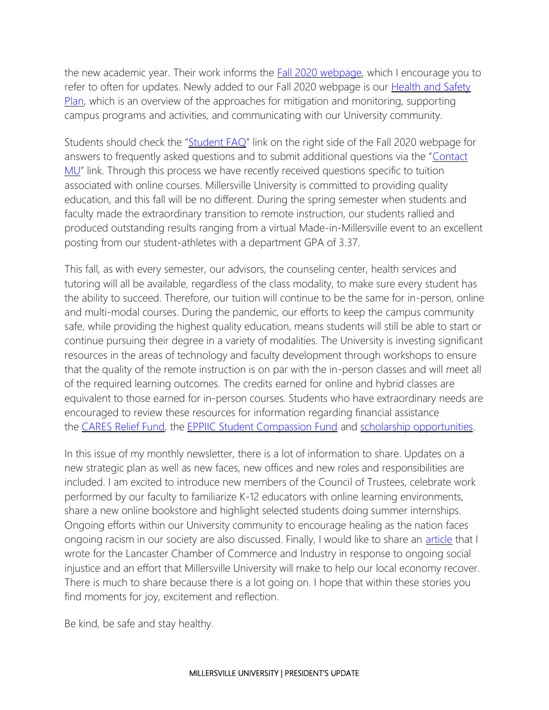the new academic year. Their work informs the **Fall 2020 webpage**, which I encourage you to refer to often for updates. Newly added to our Fall 2020 webpage is our Health and Safety [Plan,](https://www.millersville.edu/fall2020/files/health-and-safety.pdf) which is an overview of the approaches for mitigation and monitoring, supporting campus programs and activities, and communicating with our University community.

Students should check the "[Student FAQ](https://www.millersville.edu/fall2020/student-faqs.php)" link on the right side of the Fall 2020 webpage for answers to frequently asked questions and to submit additional questions via the "[Contact](https://www.millersville.edu/fall2020/contact.php)  [MU](https://www.millersville.edu/fall2020/contact.php)" link. Through this process we have recently received questions specific to tuition associated with online courses. Millersville University is committed to providing quality education, and this fall will be no different. During the spring semester when students and faculty made the extraordinary transition to remote instruction, our students rallied and produced outstanding results ranging from a virtual Made-in-Millersville event to an excellent posting from our student-athletes with a department GPA of 3.37.

This fall, as with every semester, our advisors, the counseling center, health services and tutoring will all be available, regardless of the class modality, to make sure every student has the ability to succeed. Therefore, our tuition will continue to be the same for in-person, online and multi-modal courses. During the pandemic, our efforts to keep the campus community safe, while providing the highest quality education, means students will still be able to start or continue pursuing their degree in a variety of modalities. The University is investing significant resources in the areas of technology and faculty development through workshops to ensure that the quality of the remote instruction is on par with the in-person classes and will meet all of the required learning outcomes. The credits earned for online and hybrid classes are equivalent to those earned for in-person courses. Students who have extraordinary needs are encouraged to review these resources for information regarding financial assistance the [CARES Relief Fund,](https://www.millersville.edu/finaid/cares-relief-fund.php) the [EPPIIC Student Compassion Fund](https://www.millersville.edu/currentstudents/students-in-need/eppiic-compassion-fund-application.php) and [scholarship opportunities.](https://www.millersville.edu/finaid/grantsscholarship/scholarships.php)

In this issue of my monthly newsletter, there is a lot of information to share. Updates on a new strategic plan as well as new faces, new offices and new roles and responsibilities are included. I am excited to introduce new members of the Council of Trustees, celebrate work performed by our faculty to familiarize K-12 educators with online learning environments, share a new online bookstore and highlight selected students doing summer internships. Ongoing efforts within our University community to encourage healing as the nation faces ongoing racism in our society are also discussed. Finally, I would like to share an *[article](https://www.lancasterchamber.com/Apps/Pages/page-slug-92504?formEntryId=22755)* that I wrote for the Lancaster Chamber of Commerce and Industry in response to ongoing social injustice and an effort that Millersville University will make to help our local economy recover. There is much to share because there is a lot going on. I hope that within these stories you find moments for joy, excitement and reflection.

Be kind, be safe and stay healthy.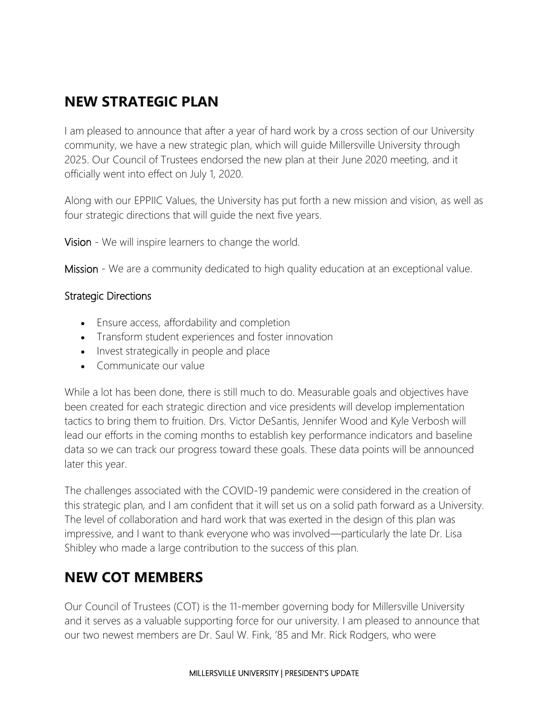### **NEW STRATEGIC PLAN**

I am pleased to announce that after a year of hard work by a cross section of our University community, we have a new strategic plan, which will guide Millersville University through 2025. Our Council of Trustees endorsed the new plan at their June 2020 meeting, and it officially went into effect on July 1, 2020.

Along with our EPPIIC Values, the University has put forth a new mission and vision, as well as four strategic directions that will guide the next five years.

Vision - We will inspire learners to change the world.

Mission - We are a community dedicated to high quality education at an exceptional value.

#### Strategic Directions

- Ensure access, affordability and completion
- Transform student experiences and foster innovation
- Invest strategically in people and place
- Communicate our value

While a lot has been done, there is still much to do. Measurable goals and objectives have been created for each strategic direction and vice presidents will develop implementation tactics to bring them to fruition. Drs. Victor DeSantis, Jennifer Wood and Kyle Verbosh will lead our efforts in the coming months to establish key performance indicators and baseline data so we can track our progress toward these goals. These data points will be announced later this year.

The challenges associated with the COVID-19 pandemic were considered in the creation of this strategic plan, and I am confident that it will set us on a solid path forward as a University. The level of collaboration and hard work that was exerted in the design of this plan was impressive, and I want to thank everyone who was involved—particularly the late Dr. Lisa Shibley who made a large contribution to the success of this plan.

#### **NEW COT MEMBERS**

Our Council of Trustees (COT) is the 11-member governing body for Millersville University and it serves as a valuable supporting force for our university. I am pleased to announce that our two newest members are Dr. Saul W. Fink, '85 and Mr. Rick Rodgers, who were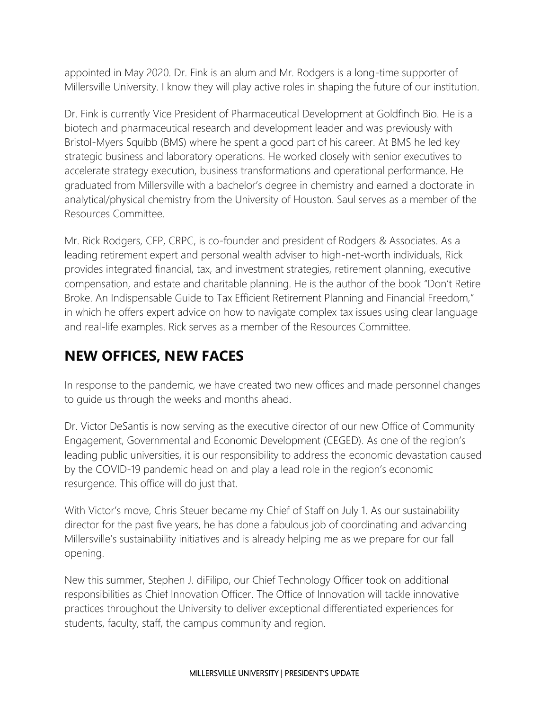appointed in May 2020. Dr. Fink is an alum and Mr. Rodgers is a long-time supporter of Millersville University. I know they will play active roles in shaping the future of our institution.

Dr. Fink is currently Vice President of Pharmaceutical Development at Goldfinch Bio. He is a biotech and pharmaceutical research and development leader and was previously with Bristol-Myers Squibb (BMS) where he spent a good part of his career. At BMS he led key strategic business and laboratory operations. He worked closely with senior executives to accelerate strategy execution, business transformations and operational performance. He graduated from Millersville with a bachelor's degree in chemistry and earned a doctorate in analytical/physical chemistry from the University of Houston. Saul serves as a member of the Resources Committee.

Mr. Rick Rodgers, CFP, CRPC, is co-founder and president of Rodgers & Associates. As a leading retirement expert and personal wealth adviser to high-net-worth individuals, Rick provides integrated financial, tax, and investment strategies, retirement planning, executive compensation, and estate and charitable planning. He is the author of the book "Don't Retire Broke. An Indispensable Guide to Tax Efficient Retirement Planning and Financial Freedom," in which he offers expert advice on how to navigate complex tax issues using clear language and real-life examples. Rick serves as a member of the Resources Committee.

# **NEW OFFICES, NEW FACES**

In response to the pandemic, we have created two new offices and made personnel changes to guide us through the weeks and months ahead.

Dr. Victor DeSantis is now serving as the executive director of our new Office of Community Engagement, Governmental and Economic Development (CEGED). As one of the region's leading public universities, it is our responsibility to address the economic devastation caused by the COVID-19 pandemic head on and play a lead role in the region's economic resurgence. This office will do just that.

With Victor's move, Chris Steuer became my Chief of Staff on July 1. As our sustainability director for the past five years, he has done a fabulous job of coordinating and advancing Millersville's sustainability initiatives and is already helping me as we prepare for our fall opening.

New this summer, Stephen J. diFilipo, our Chief Technology Officer took on additional responsibilities as Chief Innovation Officer. The Office of Innovation will tackle innovative practices throughout the University to deliver exceptional differentiated experiences for students, faculty, staff, the campus community and region.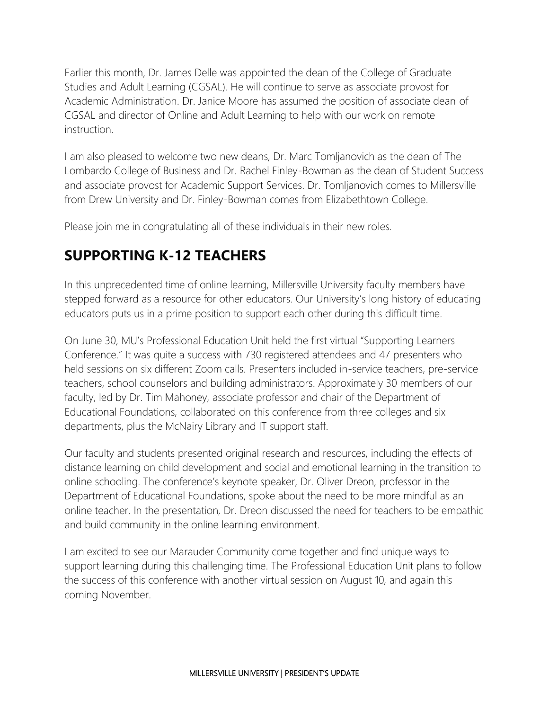Earlier this month, Dr. James Delle was appointed the dean of the College of Graduate Studies and Adult Learning (CGSAL). He will continue to serve as associate provost for Academic Administration. Dr. Janice Moore has assumed the position of associate dean of CGSAL and director of Online and Adult Learning to help with our work on remote instruction.

I am also pleased to welcome two new deans, Dr. Marc Tomljanovich as the dean of The Lombardo College of Business and Dr. Rachel Finley-Bowman as the dean of Student Success and associate provost for Academic Support Services. Dr. Tomljanovich comes to Millersville from Drew University and Dr. Finley-Bowman comes from Elizabethtown College.

Please join me in congratulating all of these individuals in their new roles.

#### **SUPPORTING K-12 TEACHERS**

In this unprecedented time of online learning, Millersville University faculty members have stepped forward as a resource for other educators. Our University's long history of educating educators puts us in a prime position to support each other during this difficult time.

On June 30, MU's Professional Education Unit held the first virtual "Supporting Learners Conference." It was quite a success with 730 registered attendees and 47 presenters who held sessions on six different Zoom calls. Presenters included in-service teachers, pre-service teachers, school counselors and building administrators. Approximately 30 members of our faculty, led by Dr. Tim Mahoney, associate professor and chair of the Department of Educational Foundations, collaborated on this conference from three colleges and six departments, plus the McNairy Library and IT support staff.

Our faculty and students presented original research and resources, including the effects of distance learning on child development and social and emotional learning in the transition to online schooling. The conference's keynote speaker, Dr. Oliver Dreon, professor in the Department of Educational Foundations, spoke about the need to be more mindful as an online teacher. In the presentation, Dr. Dreon discussed the need for teachers to be empathic and build community in the online learning environment.

I am excited to see our Marauder Community come together and find unique ways to support learning during this challenging time. The Professional Education Unit plans to follow the success of this conference with another virtual session on August 10, and again this coming November.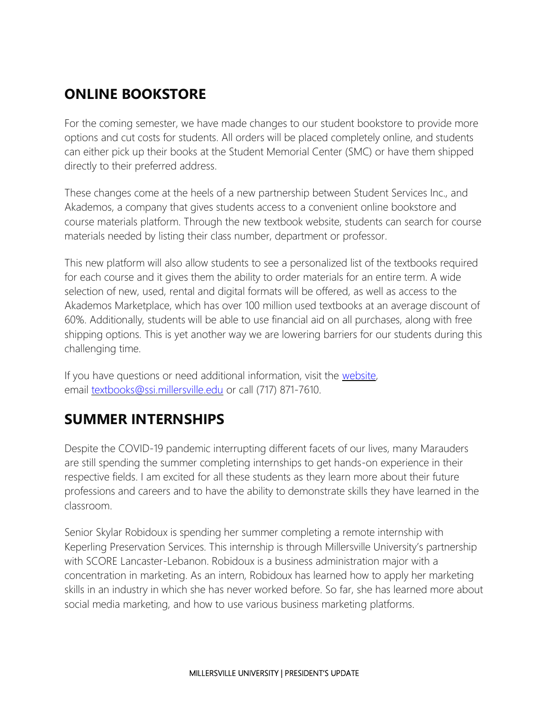# **ONLINE BOOKSTORE**

For the coming semester, we have made changes to our student bookstore to provide more options and cut costs for students. All orders will be placed completely online, and students can either pick up their books at the Student Memorial Center (SMC) or have them shipped directly to their preferred address.

These changes come at the heels of a new partnership between Student Services Inc., and Akademos, a company that gives students access to a convenient online bookstore and course materials platform. Through the new textbook website, students can search for course materials needed by listing their class number, department or professor.

This new platform will also allow students to see a personalized list of the textbooks required for each course and it gives them the ability to order materials for an entire term. A wide selection of new, used, rental and digital formats will be offered, as well as access to the Akademos Marketplace, which has over 100 million used textbooks at an average discount of 60%. Additionally, students will be able to use financial aid on all purchases, along with free shipping options. This is yet another way we are lowering barriers for our students during this challenging time.

If you have questions or need additional information, visit the [website,](https://millersville.textbookx.com/) email [textbooks@ssi.millersville.edu](mailto:email:textbooks@ssi.millersville.edu) or call (717) 871-7610.

# **SUMMER INTERNSHIPS**

Despite the COVID-19 pandemic interrupting different facets of our lives, many Marauders are still spending the summer completing internships to get hands-on experience in their respective fields. I am excited for all these students as they learn more about their future professions and careers and to have the ability to demonstrate skills they have learned in the classroom.

Senior Skylar Robidoux is spending her summer completing a remote internship with Keperling Preservation Services. This internship is through Millersville University's partnership with SCORE Lancaster-Lebanon. Robidoux is a business administration major with a concentration in marketing. As an intern, Robidoux has learned how to apply her marketing skills in an industry in which she has never worked before. So far, she has learned more about social media marketing, and how to use various business marketing platforms.